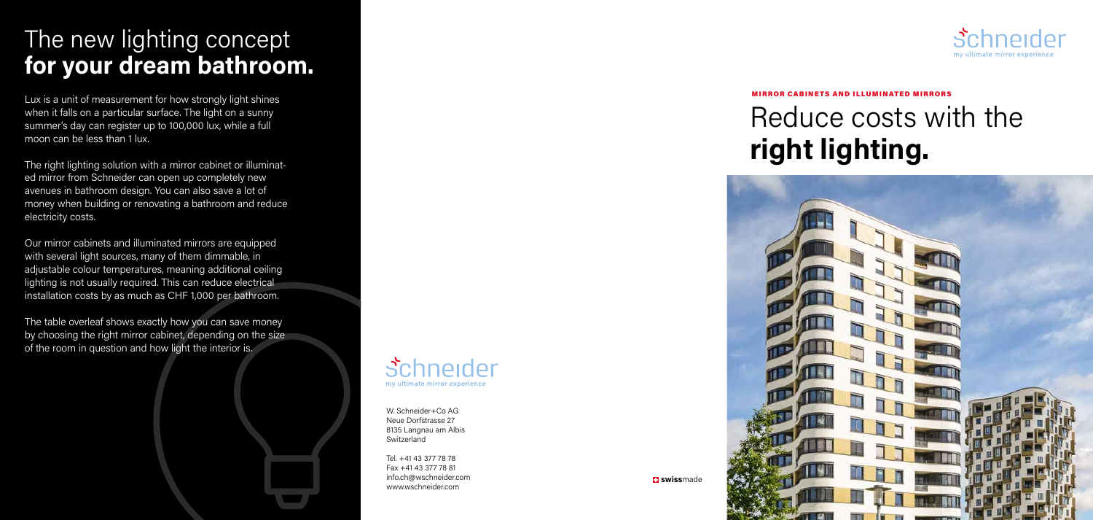

Tel. +41 43 377 78 78 Fax +41 43 377 78 81 info.ch@wschneider.com www.wschneider.com



**El swissmade** 



# Reduce costs with the **right lighting.**



## The new lighting concept **for your dream bathroom.**

Lux is a unit of measurement for how strongly light shines when it falls on a particular surface. The light on a sunny summer's day can register up to 100,000 lux, while a full moon can be less than 1 lux.

The right lighting solution with a mirror cabinet or illuminated mirror from Schneider can open up completely new avenues in bathroom design. You can also save a lot of money when building or renovating a bathroom and reduce electricity costs.

Our mirror cabinets and illuminated mirrors are equipped with several light sources, many of them dimmable, in adjustable colour temperatures, meaning additional ceiling lighting is not usually required. This can reduce electrical installation costs by as much as CHF 1,000 per bathroom.

The table overleaf shows exactly how you can save money by choosing the right mirror cabinet, depending on the size of the room in question and how light the interior is.

#### MIRROR CABINETS AND ILLUMINATED MIRRORS